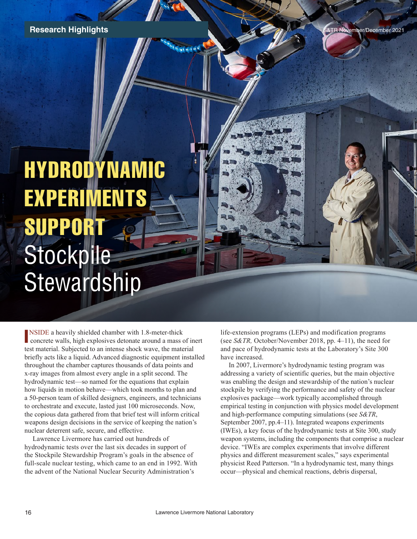**Research Highlights** SATR November/December 2021

## Stockpile **Stewardship** HYDRODYNAMIC **EXPERIMENTS** SUPPORT

INSIDE a heavily shielded chamber with 1.8-meter-thick<br>concrete walls, high explosives detonate around a mass of inert NSIDE a heavily shielded chamber with 1.8-meter-thick test material. Subjected to an intense shock wave, the material briefly acts like a liquid. Advanced diagnostic equipment installed throughout the chamber captures thousands of data points and x-ray images from almost every angle in a split second. The hydrodynamic test—so named for the equations that explain how liquids in motion behave—which took months to plan and a 50-person team of skilled designers, engineers, and technicians to orchestrate and execute, lasted just 100 microseconds. Now, the copious data gathered from that brief test will inform critical weapons design decisions in the service of keeping the nation's nuclear deterrent safe, secure, and effective.

Lawrence Livermore has carried out hundreds of hydrodynamic tests over the last six decades in support of the Stockpile Stewardship Program's goals in the absence of full-scale nuclear testing, which came to an end in 1992. With the advent of the National Nuclear Security Administration's

life-extension programs (LEPs) and modification programs (see *S&TR,* October/November 2018, pp. 4–11), the need for and pace of hydrodynamic tests at the Laboratory's Site 300 have increased.

In 2007, Livermore's hydrodynamic testing program was addressing a variety of scientific queries, but the main objective was enabling the design and stewardship of the nation's nuclear stockpile by verifying the performance and safety of the nuclear explosives package—work typically accomplished through empirical testing in conjunction with physics model development and high-performance computing simulations (see *S&TR*, September 2007, pp.4–11). Integrated weapons experiments (IWEs), a key focus of the hydrodynamic tests at Site 300, study weapon systems, including the components that comprise a nuclear device. "IWEs are complex experiments that involve different physics and different measurement scales," says experimental physicist Reed Patterson. "In a hydrodynamic test, many things occur—physical and chemical reactions, debris dispersal,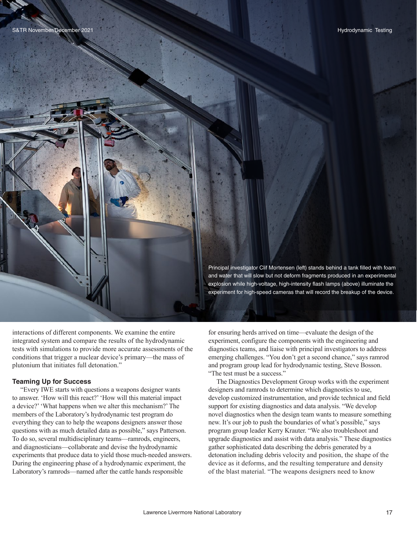interactions of different components. We examine the entire integrated system and compare the results of the hydrodynamic tests with simulations to provide more accurate assessments of the conditions that trigger a nuclear device's primary—the mass of plutonium that initiates full detonation."

## **Teaming Up for Success**

"Every IWE starts with questions a weapons designer wants to answer. 'How will this react?' 'How will this material impact a device?' 'What happens when we alter this mechanism?' The members of the Laboratory's hydrodynamic test program do everything they can to help the weapons designers answer those questions with as much detailed data as possible," says Patterson. To do so, several multidisciplinary teams—ramrods, engineers, and diagnosticians—collaborate and devise the hydrodynamic experiments that produce data to yield those much-needed answers. During the engineering phase of a hydrodynamic experiment, the Laboratory's ramrods—named after the cattle hands responsible

Principal investigator Clif Mortensen (left) stands behind a tank filled with foam and water that will slow but not deform fragments produced in an experimental explosion while high-voltage, high-intensity flash lamps (above) illuminate the experiment for high-speed cameras that will record the breakup of the device.

for ensuring herds arrived on time—evaluate the design of the experiment, configure the components with the engineering and diagnostics teams, and liaise with principal investigators to address emerging challenges. "You don't get a second chance," says ramrod and program group lead for hydrodynamic testing, Steve Bosson. "The test must be a success."

The Diagnostics Development Group works with the experiment designers and ramrods to determine which diagnostics to use, develop customized instrumentation, and provide technical and field support for existing diagnostics and data analysis. "We develop novel diagnostics when the design team wants to measure something new. It's our job to push the boundaries of what's possible," says program group leader Kerry Krauter. "We also troubleshoot and upgrade diagnostics and assist with data analysis." These diagnostics gather sophisticated data describing the debris generated by a detonation including debris velocity and position, the shape of the device as it deforms, and the resulting temperature and density of the blast material. "The weapons designers need to know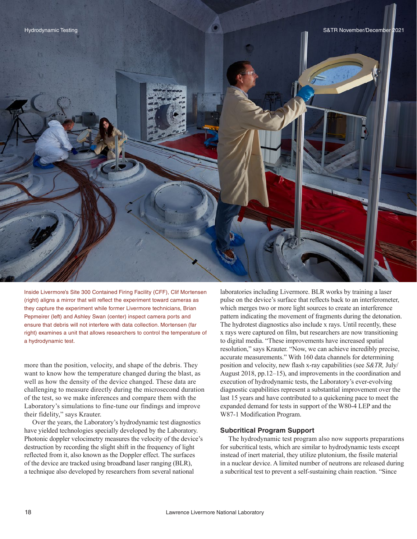

Inside Livermore's Site 300 Contained Firing Facility (CFF), Clif Mortensen (right) aligns a mirror that will reflect the experiment toward cameras as they capture the experiment while former Livermore technicians, Brian Pepmeirer (left) and Ashley Swan (center) inspect camera ports and ensure that debris will not interfere with data collection. Mortensen (far right) examines a unit that allows researchers to control the temperature of a hydrodynamic test.

more than the position, velocity, and shape of the debris. They want to know how the temperature changed during the blast, as well as how the density of the device changed. These data are challenging to measure directly during the microsecond duration of the test, so we make inferences and compare them with the Laboratory's simulations to fine-tune our findings and improve their fidelity," says Krauter.

Over the years, the Laboratory's hydrodynamic test diagnostics have yielded technologies specially developed by the Laboratory. Photonic doppler velocimetry measures the velocity of the device's destruction by recording the slight shift in the frequency of light reflected from it, also known as the Doppler effect. The surfaces of the device are tracked using broadband laser ranging (BLR), a technique also developed by researchers from several national

laboratories including Livermore. BLR works by training a laser pulse on the device's surface that reflects back to an interferometer, which merges two or more light sources to create an interference pattern indicating the movement of fragments during the detonation. The hydrotest diagnostics also include x rays. Until recently, these x rays were captured on film, but researchers are now transitioning to digital media. "These improvements have increased spatial resolution," says Krauter. "Now, we can achieve incredibly precise, accurate measurements." With 160 data channels for determining position and velocity, new flash x-ray capabilities (see *S&TR,* July/ August 2018, pp.12–15), and improvements in the coordination and execution of hydrodynamic tests, the Laboratory's ever-evolving diagnostic capabilities represent a substantial improvement over the last 15 years and have contributed to a quickening pace to meet the expanded demand for tests in support of the W80-4 LEP and the W87-1 Modification Program.

## **Subcritical Program Support**

The hydrodynamic test program also now supports preparations for subcritical tests, which are similar to hydrodynamic tests except instead of inert material, they utilize plutonium, the fissile material in a nuclear device. A limited number of neutrons are released during a subcritical test to prevent a self-sustaining chain reaction. "Since